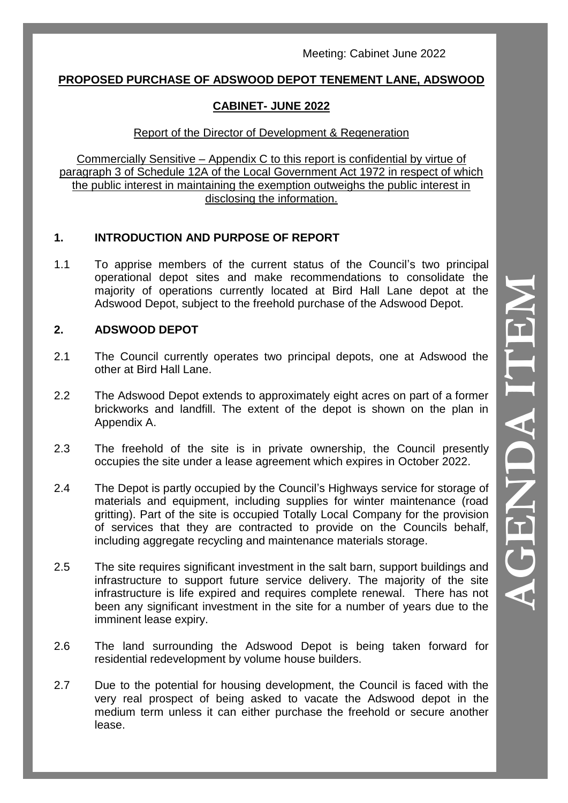### **PROPOSED PURCHASE OF ADSWOOD DEPOT TENEMENT LANE, ADSWOOD**

# **CABINET - JUNE 2022**

## Report of the Director of Development & Regeneration

Commercially Sensitive – Appendix C to this report is confidential by virtue of paragraph 3 of Schedule 12A of the Local Government Act 1972 in respect of which the public interest in maintaining the exemption outweighs the public interest in disclosing the information.

# **1. INTRODUCTION AND PURPOSE OF REPORT**

1.1 To apprise members of the current status of the Council 's two principal operational depot sites and make recommendations to consolidate the majority of operations currently located at Bird Hall Lane depot at the Adswood Depot, subject to the freehold purchase of the Adswood Depot.

# **2. ADSWOOD DEPOT**

- 2.1 The Council currently operates two principal depots, one at Adswood the other at Bird Hall Lane.
- 2.2 The Adswood Depot extends to approximately eight acres on part of a former brickworks and landfill. The extent of the depot is shown on the plan in Appendix A.
- 2.3 The freehold of the site is in private ownership, the Council presently occupies the site under a lease agreement which expires in October 2022.
- 2.4 The Depot is partly occupied by the Council 's Highways service for storage of materials and equipment, including supplies for winter maintenance (road gritting). Part of the site is occupied Totally Local Company for the provision of services that they are contracted to provide on the Councils behalf, including aggregate recycling and maintenance materials storage.
- 2.5 The site requires significant investment in the salt barn, support buildings and infrastructure to support future service delivery. The majority of the site infrastructure is life expired and requires complete renewal. There has not been any significant investment in the site for a number of years due to the imminent lease expiry.
- 2.6 The land surrounding the Adswood Depot is being taken forward for residential redevelopment by volume house builders.
- 2.7 Due to the potential for housing development, the Council is faced with the very real prospect of being asked to vacate the Adswood depot in the medium term unless it can either purchase the freehold or secure another lease.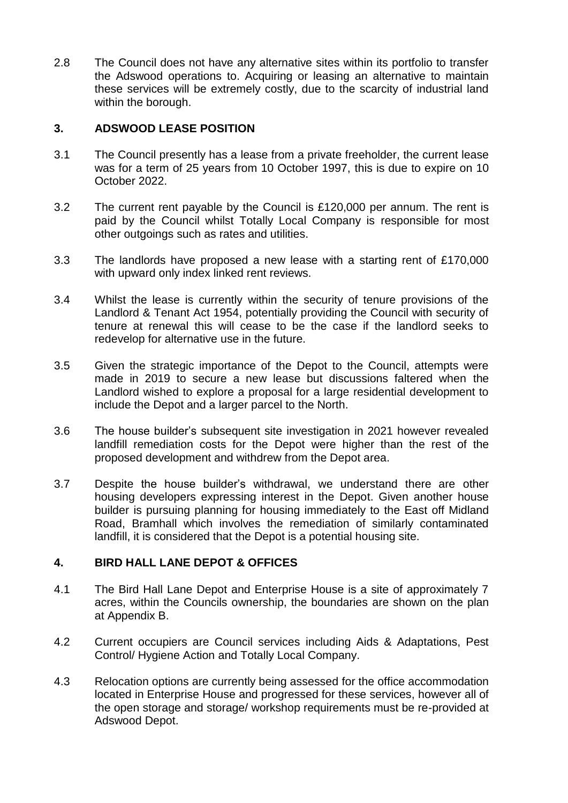2.8 The Council does not have any alternative sites within its portfolio to transfer the Adswood operations to. Acquiring or leasing an alternative to maintain these services will be extremely costly, due to the scarcity of industrial land within the borough.

#### **3. ADSWOOD LEASE POSITION**

- 3.1 The Council presently has a lease from a private freeholder, the current lease was for a term of 25 years from 10 October 1997, this is due to expire on 10 October 2022.
- 3.2 The current rent payable by the Council is £120,000 per annum. The rent is paid by the Council whilst Totally Local Company is responsible for most other outgoings such as rates and utilities.
- 3.3 The landlords have proposed a new lease with a starting rent of £170,000 with upward only index linked rent reviews.
- 3.4 Whilst the lease is currently within the security of tenure provisions of the Landlord & Tenant Act 1954, potentially providing the Council with security of tenure at renewal this will cease to be the case if the landlord seeks to redevelop for alternative use in the future.
- 3.5 Given the strategic importance of the Depot to the Council, attempts were made in 2019 to secure a new lease but discussions faltered when the Landlord wished to explore a proposal for a large residential development to include the Depot and a larger parcel to the North.
- 3.6 The house builder's subsequent site investigation in 2021 however revealed landfill remediation costs for the Depot were higher than the rest of the proposed development and withdrew from the Depot area.
- 3.7 Despite the house builder's withdrawal, we understand there are other housing developers expressing interest in the Depot. Given another house builder is pursuing planning for housing immediately to the East off Midland Road, Bramhall which involves the remediation of similarly contaminated landfill, it is considered that the Depot is a potential housing site.

#### **4. BIRD HALL LANE DEPOT & OFFICES**

- 4.1 The Bird Hall Lane Depot and Enterprise House is a site of approximately 7 acres, within the Councils ownership, the boundaries are shown on the plan at Appendix B.
- 4.2 Current occupiers are Council services including Aids & Adaptations, Pest Control/ Hygiene Action and Totally Local Company.
- 4.3 Relocation options are currently being assessed for the office accommodation located in Enterprise House and progressed for these services, however all of the open storage and storage/ workshop requirements must be re-provided at Adswood Depot.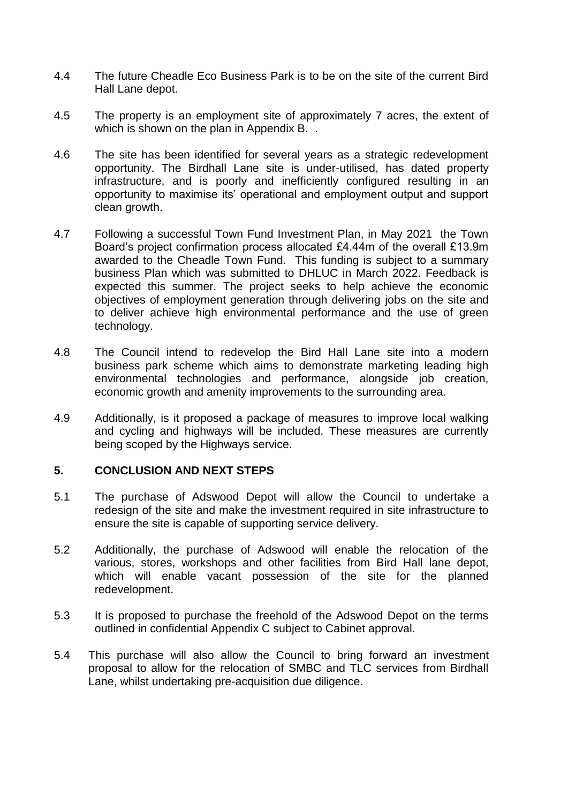- 4.4 The future Cheadle Eco Business Park is to be on the site of the current Bird Hall Lane depot.
- 4.5 The property is an employment site of approximately 7 acres, the extent of which is shown on the plan in Appendix B...
- 4.6 The site has been identified for several years as a strategic redevelopment opportunity. The Birdhall Lane site is under-utilised, has dated property infrastructure, and is poorly and inefficiently configured resulting in an opportunity to maximise its' operational and employment output and support clean growth.
- 4.7 Following a successful Town Fund Investment Plan, in May 2021 the Town Board's project confirmation process allocated £4.44m of the overall £13.9m awarded to the Cheadle Town Fund. This funding is subject to a summary business Plan which was submitted to DHLUC in March 2022. Feedback is expected this summer. The project seeks to help achieve the economic objectives of employment generation through delivering jobs on the site and to deliver achieve high environmental performance and the use of green technology.
- 4.8 The Council intend to redevelop the Bird Hall Lane site into a modern business park scheme which aims to demonstrate marketing leading high environmental technologies and performance, alongside job creation, economic growth and amenity improvements to the surrounding area.
- 4.9 Additionally, is it proposed a package of measures to improve local walking and cycling and highways will be included. These measures are currently being scoped by the Highways service.

#### **5. CONCLUSION AND NEXT STEPS**

- 5.1 The purchase of Adswood Depot will allow the Council to undertake a redesign of the site and make the investment required in site infrastructure to ensure the site is capable of supporting service delivery.
- 5.2 Additionally, the purchase of Adswood will enable the relocation of the various, stores, workshops and other facilities from Bird Hall lane depot, which will enable vacant possession of the site for the planned redevelopment.
- 5.3 It is proposed to purchase the freehold of the Adswood Depot on the terms outlined in confidential Appendix C subject to Cabinet approval.
- 5.4 This purchase will also allow the Council to bring forward an investment proposal to allow for the relocation of SMBC and TLC services from Birdhall Lane, whilst undertaking pre-acquisition due diligence.